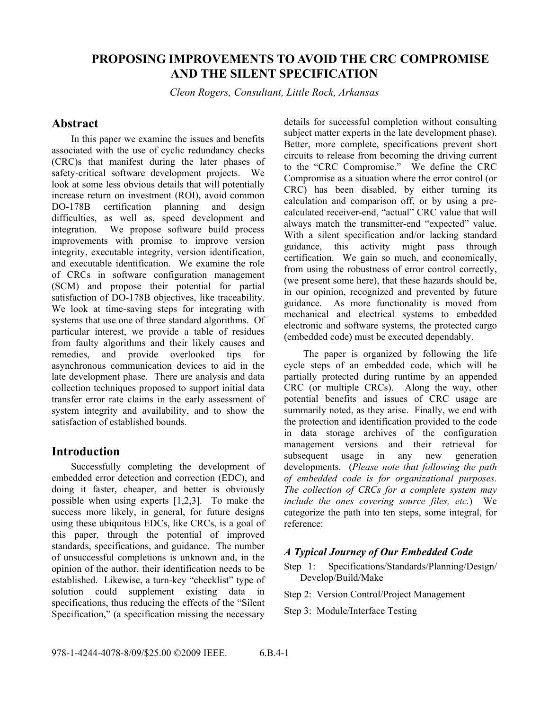# **PROPOSING IMPROVEMENTS TO AVOID THE CRC COMPROMISE AND THE SILENT SPECIFICATION**

*Cleon Rogers, Consultant, Little Rock, Arkansas* 

# **Abstract**

satisfaction of DO-178B objectives, like traceability. from faulty algorithms and their likely causes and In this paper we examine the issues and benefits associated with the use of cyclic redundancy checks (CRC)s that manifest during the later phases of safety-critical software development projects. We look at some less obvious details that will potentially increase return on investment (ROI), avoid common DO-178B certification planning and design difficulties, as well as, speed development and integration. We propose software build process improvements with promise to improve version integrity, executable integrity, version identification, and executable identification. We examine the role of CRCs in software configuration management (SCM) and propose their potential for partial We look at time-saving steps for integrating with systems that use one of three standard algorithms. Of particular interest, we provide a table of residues remedies, and provide overlooked tips for asynchronous communication devices to aid in the late development phase. There are analysis and data collection techniques proposed to support initial data transfer error rate claims in the early assessment of system integrity and availability, and to show the satisfaction of established bounds.

# **Introduction**

Successfully completing the development of embedded error detection and correction (EDC), and doing it faster, cheaper, and better is obviously possible when using experts [1,2,3]. To make the success more likely, in general, for future designs using these ubiquitous EDCs, like CRCs, is a goal of this paper, through the potential of improved standards, specifications, and guidance. The number of unsuccessful completions is unknown and, in the opinion of the author, their identification needs to be established. Likewise, a turn-key "checklist" type of solution could supplement existing data in specifications, thus reducing the effects of the "Silent Specification," (a specification missing the necessary subject matter experts in the late development phase). details for successful completion without consulting Better, more complete, specifications prevent short circuits to release from becoming the driving current to the "CRC Compromise." We define the CRC Compromise as a situation where the error control (or CRC) has been disabled, by either turning its calculation and comparison off, or by using a precalculated receiver-end, "actual" CRC value that will always match the transmitter-end "expected" value. With a silent specification and/or lacking standard guidance, this activity might pass through certification. We gain so much, and economically, from using the robustness of error control correctly, (we present some here), that these hazards should be, in our opinion, recognized and prevented by future guidance. As more functionality is moved from mechanical and electrical systems to embedded electronic and software systems, the protected cargo (embedded code) must be executed dependably.

 CRC (or multiple CRCs). Along the way, other The paper is organized by following the life cycle steps of an embedded code, which will be partially protected during runtime by an appended potential benefits and issues of CRC usage are summarily noted, as they arise. Finally, we end with the protection and identification provided to the code in data storage archives of the configuration management versions and their retrieval for subsequent usage in any new generation developments. (*Please note that following the path of embedded code is for organizational purposes. The collection of CRCs for a complete system may include the ones covering source files, etc.*) We categorize the path into ten steps, some integral, for reference:

### *A Typical Journey of Our Embedded Code*

Step 1: Specifications/Standards/Planning/Design/ Develop/Build/Make

Step 2: Version Control/Project Management

Step 3: Module/Interface Testing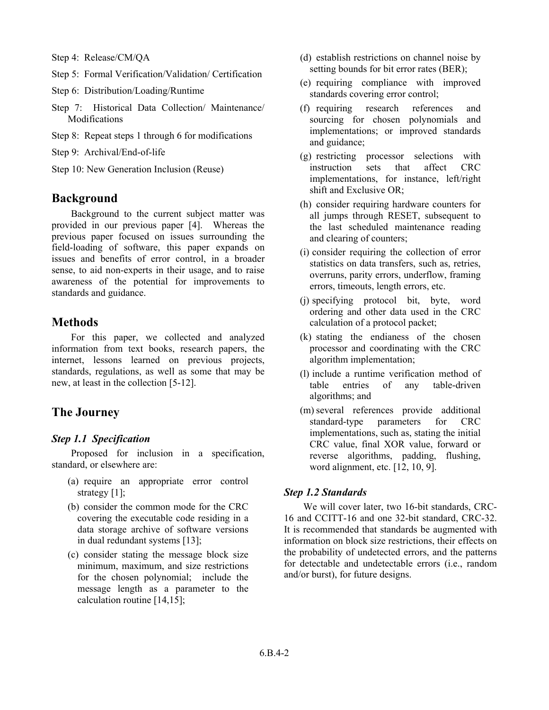- Step 4: Release/CM/QA
- Step 5: Formal Verification/Validation/ Certification
- Step 6: Distribution/Loading/Runtime
- Step 7: Historical Data Collection/ Maintenance/ Modifications
- Step 8: Repeat steps 1 through 6 for modifications
- Step 9: Archival/End-of-life
- Step 10: New Generation Inclusion (Reuse)

# **Background**

Background to the current subject matter was provided in our previous paper [4]. Whereas the previous paper focused on issues surrounding the field-loading of software, this paper expands on issues and benefits of error control, in a broader sense, to aid non-experts in their usage, and to raise awareness of the potential for improvements to standards and guidance.

# **Methods**

For this paper, we collected and analyzed information from text books, research papers, the internet, lessons learned on previous projects, standards, regulations, as well as some that may be new, at least in the collection [5-12].

# **The Journey**

#### *Step 1.1 Specification*

Proposed for inclusion in a specification, standard, or elsewhere are:

- (a) require an appropriate error control strategy [1];
- (b) consider the common mode for the CRC covering the executable code residing in a data storage archive of software versions in dual redundant systems [13];
- (c) consider stating the message block size minimum, maximum, and size restrictions for the chosen polynomial; include the message length as a parameter to the calculation routine [14,15];
- (d) establish restrictions on channel noise by setting bounds for bit error rates (BER);
- (e) requiring compliance with improved standards covering error control;
- (f) requiring research references and sourcing for chosen polynomials and implementations; or improved standards and guidance;
- (g) restricting processor selections with instruction sets that affect CRC implementations, for instance, left/right shift and Exclusive OR;
- (h) consider requiring hardware counters for all jumps through RESET, subsequent to the last scheduled maintenance reading and clearing of counters;
- (i) consider requiring the collection of error statistics on data transfers, such as, retries, overruns, parity errors, underflow, framing errors, timeouts, length errors, etc.
- (j) specifying protocol bit, byte, word ordering and other data used in the CRC calculation of a protocol packet;
- (k) stating the endianess of the chosen processor and coordinating with the CRC algorithm implementation;
- (l) include a runtime verification method of table entries of any table-driven algorithms; and
- (m) several references provide additional standard-type parameters for CRC implementations, such as, stating the initial CRC value, final XOR value, forward or reverse algorithms, padding, flushing, word alignment, etc. [12, 10, 9].

### *Step 1.2 Standards*

We will cover later, two 16-bit standards, CRC-16 and CCITT-16 and one 32-bit standard, CRC-32. It is recommended that standards be augmented with information on block size restrictions, their effects on the probability of undetected errors, and the patterns for detectable and undetectable errors (i.e., random and/or burst), for future designs.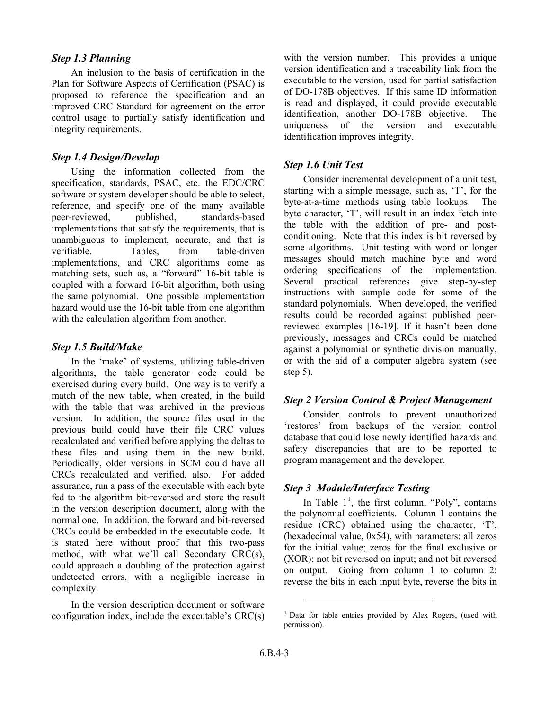### *Step 1.3 Planning*

An inclusion to the basis of certification in the Plan for Software Aspects of Certification (PSAC) is proposed to reference the specification and an improved CRC Standard for agreement on the error control usage to partially satisfy identification and integrity requirements.

### *Step 1.4 Design/Develop*

Using the information collected from the specification, standards, PSAC, etc. the EDC/CRC software or system developer should be able to select, reference, and specify one of the many available peer-reviewed, published, standards-based implementations that satisfy the requirements, that is unambiguous to implement, accurate, and that is verifiable. Tables, from table-driven implementations, and CRC algorithms come as matching sets, such as, a "forward" 16-bit table is coupled with a forward 16-bit algorithm, both using the same polynomial. One possible implementation hazard would use the 16-bit table from one algorithm with the calculation algorithm from another.

#### *Step 1.5 Build/Make*

In the 'make' of systems, utilizing table-driven algorithms, the table generator code could be exercised during every build. One way is to verify a match of the new table, when created, in the build with the table that was archived in the previous version. In addition, the source files used in the previous build could have their file CRC values recalculated and verified before applying the deltas to these files and using them in the new build. Periodically, older versions in SCM could have all CRCs recalculated and verified, also. For added assurance, run a pass of the executable with each byte fed to the algorithm bit-reversed and store the result in the version description document, along with the normal one. In addition, the forward and bit-reversed CRCs could be embedded in the executable code. It is stated here without proof that this two-pass method, with what we'll call Secondary CRC(s), could approach a doubling of the protection against undetected errors, with a negligible increase in complexity.

In the version description document or software configuration index, include the executable's CRC(s) with the version number. This provides a unique version identification and a traceability link from the executable to the version, used for partial satisfaction of DO-178B objectives. If this same ID information is read and displayed, it could provide executable identification, another DO-178B objective. The uniqueness of the version and executable identification improves integrity.

### *Step 1.6 Unit Test*

Consider incremental development of a unit test, starting with a simple message, such as, 'T', for the byte-at-a-time methods using table lookups. The byte character, 'T', will result in an index fetch into the table with the addition of pre- and postconditioning. Note that this index is bit reversed by some algorithms. Unit testing with word or longer messages should match machine byte and word ordering specifications of the implementation. Several practical references give step-by-step instructions with sample code for some of the standard polynomials. When developed, the verified results could be recorded against published peerreviewed examples [16-19]. If it hasn't been done previously, messages and CRCs could be matched against a polynomial or synthetic division manually, or with the aid of a computer algebra system (see step 5).

#### *Step 2 Version Control & Project Management*

Consider controls to prevent unauthorized 'restores' from backups of the version control database that could lose newly identified hazards and safety discrepancies that are to be reported to program management and the developer.

### *Step 3 Module/Interface Testing*

 on output. Going from column 1 to column 2: In Table  $1^1$ , the first column, "Poly", contains the polynomial coefficients. Column 1 contains the residue (CRC) obtained using the character, 'T', (hexadecimal value, 0x54), with parameters: all zeros for the initial value; zeros for the final exclusive or (XOR); not bit reversed on input; and not bit reversed reverse the bits in each input byte, reverse the bits in

l

<sup>&</sup>lt;sup>1</sup> Data for table entries provided by Alex Rogers, (used with permission).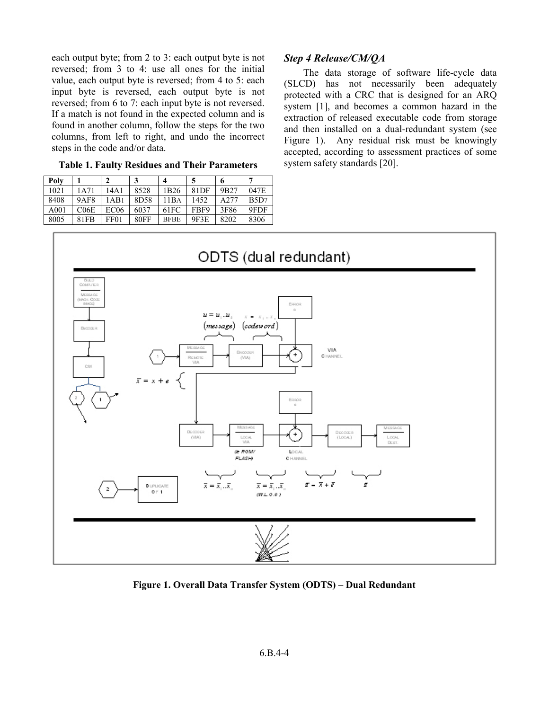each output byte; from 2 to 3: each output byte is not reversed; from 3 to 4: use all ones for the initial value, each output byte is reversed; from 4 to 5: each input byte is reversed, each output byte is not reversed; from 6 to 7: each input byte is not reversed. If a match is not found in the expected column and is found in another column, follow the steps for the two columns, from left to right, and undo the incorrect steps in the code and/or data.

**Table 1. Faulty Residues and Their Parameters** 

| Polv             |             |                  |             |                  |                  | 6                |      |
|------------------|-------------|------------------|-------------|------------------|------------------|------------------|------|
| 1021             | 1A71        | 14A 1            | 8528        | 1 <sub>B26</sub> | 81 <sub>DF</sub> | 9 <sub>B27</sub> | 047E |
| 8408             | <b>9AF8</b> | 1 A B 1          | 8D58        | 11BA             | 1452             | A277             | B5D7 |
| A <sub>001</sub> | CO6E        | EC <sub>06</sub> | 6037        | 61FC             | FBF9             | 3F86             | 9FDF |
| 8005             | 81FB        | FF01             | <b>80FF</b> | <b>BFBE</b>      | 9F3E             | 8202             | 8306 |

# *Step 4 Release/CM/QA*

The data storage of software life-cycle data (SLCD) has not necessarily been adequately protected with a CRC that is designed for an ARQ system [1], and becomes a common hazard in the extraction of released executable code from storage and then installed on a dual-redundant system (see Figure 1). Any residual risk must be knowingly accepted, according to assessment practices of some system safety standards [20].



**Figure 1. Overall Data Transfer System (ODTS) – Dual Redundant**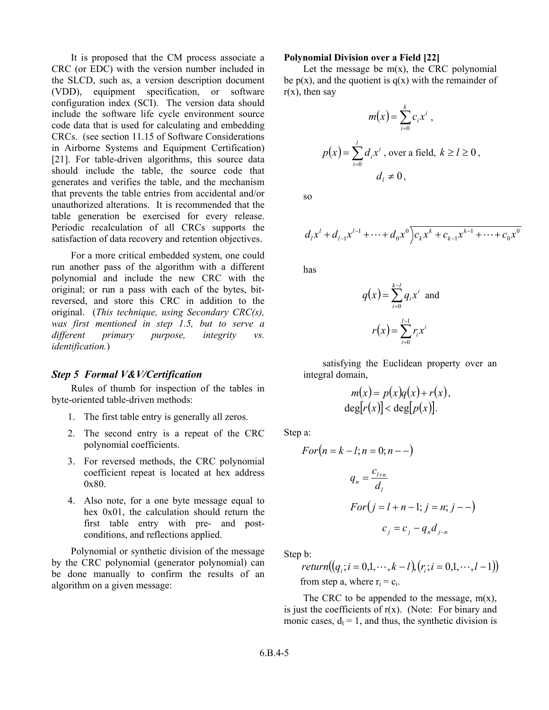table generation be exercised for every release. It is proposed that the CM process associate a CRC (or EDC) with the version number included in the SLCD, such as, a version description document (VDD), equipment specification, or software configuration index (SCI). The version data should include the software life cycle environment source code data that is used for calculating and embedding CRCs. (see section 11.15 of Software Considerations in Airborne Systems and Equipment Certification) [21]. For table-driven algorithms, this source data should include the table, the source code that generates and verifies the table, and the mechanism that prevents the table entries from accidental and/or unauthorized alterations. It is recommended that the Periodic recalculation of all CRCs supports the satisfaction of data recovery and retention objectives.

For a more critical embedded system, one could run another pass of the algorithm with a different polynomial and include the new CRC with the original; or run a pass with each of the bytes, bitreversed, and store this CRC in addition to the original. (*This technique, using Secondary CRC(s), was first mentioned in step 1.5, but to serve a different primary purpose, integrity vs. identification.*)

#### *Step 5 Formal V&V/Certification*

Rules of thumb for inspection of the tables in byte-oriented table-driven methods:

- 1. The first table entry is generally all zeros.
- 2. The second entry is a repeat of the CRC polynomial coefficients.
- 3. For reversed methods, the CRC polynomial coefficient repeat is located at hex address 0x80.
- 4. Also note, for a one byte message equal to hex 0x01, the calculation should return the first table entry with pre- and postconditions, and reflections applied.

Polynomial or synthetic division of the message by the CRC polynomial (generator polynomial) can be done manually to confirm the results of an algorithm on a given message:

#### **Polynomial Division over a Field [22]**

Let the message be  $m(x)$ , the CRC polynomial be  $p(x)$ , and the quotient is  $q(x)$  with the remainder of  $r(x)$ , then say

$$
m(x) = \sum_{i=0}^{k} c_i x^i ,
$$
  

$$
p(x) = \sum_{i=0}^{l} d_i x^i, \text{ over a field, } k \ge l \ge 0 ,
$$
  

$$
d_l \neq 0,
$$

so

$$
d_{l}x^{l} + d_{l-1}x^{l-1} + \cdots + d_{0}x^{0}\overline{c_{k}x^{k} + c_{k-1}x^{k-1} + \cdots + c_{0}x^{0}}
$$

has

$$
q(x) = \sum_{i=0}^{k-l} q_i x^i
$$
 and  

$$
r(x) = \sum_{i=0}^{l-1} r_i x^i
$$

satisfying the Euclidean property over an integral domain,

$$
m(x) = p(x)q(x) + r(x),
$$
  

$$
\deg[r(x)] < \deg[p(x)].
$$

Step a:

$$
For(n = k - l; n = 0; n - -)
$$
\n
$$
q_{n} = \frac{c_{l+n}}{d_{l}}
$$
\n
$$
For(j = l + n - 1; j = n; j - -)
$$
\n
$$
c_{j} = c_{j} - q_{n}d_{j-n}
$$

Step b:

*return*((
$$
q_i
$$
;  $i = 0,1, \dots, k-l$ ), ( $r_i$ ;  $i = 0,1, \dots, l-1$ ))  
from step a, where  $r_i = c_i$ .

The CRC to be appended to the message,  $m(x)$ , is just the coefficients of  $r(x)$ . (Note: For binary and monic cases,  $d_1 = 1$ , and thus, the synthetic division is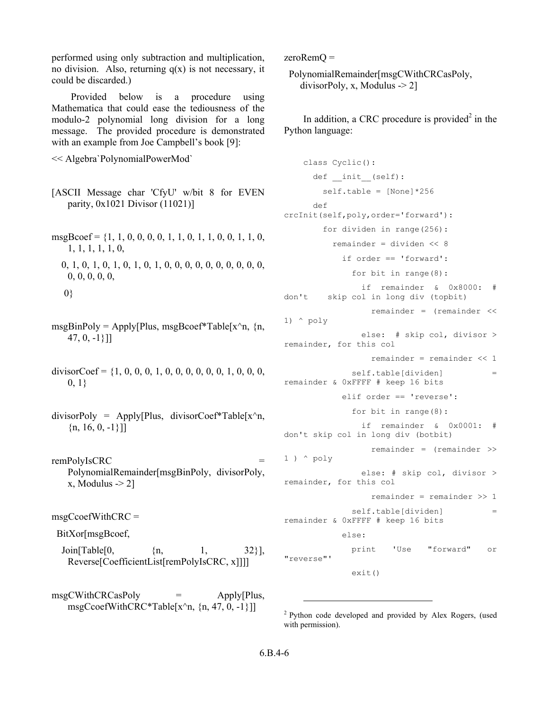performed using only subtraction and multiplication, no division. Also, returning  $q(x)$  is not necessary, it could be discarded.)

Provided below is a procedure using Mathematica that could ease the tediousness of the modulo-2 polynomial long division for a long message. The provided procedure is demonstrated with an example from Joe Campbell's book [9]:

<< Algebra`PolynomialPowerMod`

- parity,  $0x1021$  Divisor  $(11021)$ ] [ASCII Message char 'CfyU' w/bit 8 for EVEN
- $msgBcoef = \{1, 1, 0, 0, 0, 0, 1, 1, 0, 1, 1, 0, 0, 1, 1, 0,$ 1, 1, 1, 1, 1, 0,
	- 0, 1, 0, 1, 0, 1, 0, 1, 0, 1, 0, 0, 0, 0, 0, 0, 0, 0, 0, 0, 0, 0, 0, 0, 0,

```
 0}
```
- msgBinPoly = Apply[Plus, msgBcoef\*Table[x^n,  $\{n,$ 47, 0, -1}]]
- divisorCoef = {1, 0, 0, 0, 1, 0, 0, 0, 0, 0, 0, 1, 0, 0, 0,  $0, 1$ }
- divisorPoly = Apply[Plus, divisorCoef\*Table[ $x^n$ n,  $\{n, 16, 0, -1\}\}\$
- remPolyIsCRC = PolynomialRemainder[msgBinPoly, divisorPoly,  $x,$  Modulus  $\geq 2$ ]

msgCcoefWithCRC =

```
 BitXor[msgBcoef,
```
Join[Table[0,  $\{n, 32\}$ ],  $\{32\}$ ], Reverse[CoefficientList[remPolyIsCRC, x]]]]

msgCWithCRCasPoly = Apply[Plus, msgCcoefWithCRC\*Table[x^n,  $\{n, 47, 0, -1\}$ ]]

zeroRemQ =

 PolynomialRemainder[msgCWithCRCasPoly, divisorPoly, x, Modulus  $\sim$  2]

In addition, a CRC procedure is provided<sup>2</sup> in the Python language:

```
class Cyclic(): 
      def init (self):
       self.table = [None]*256 
      def 
crcInit(self,poly,order='forward'): 
        for dividen in range(256): 
          remainder = dividen << 8 
            if order == 'forward': 
              for bit in range(8): 
                if remainder & 0x8000: # 
don't skip col in long div (topbit) 
                  remainder = (remainder << 
1) ^ poly 
                else: # skip col, divisor >
remainder, for this col 
                  remainder = remainder << 1 
              self.table[dividen] =
remainder & 0xFFFF # keep 16 bits 
            elif order == 'reverse': 
              for bit in range(8): 
                if remainder & 0x0001: # 
don't skip col in long div (botbit) 
                  remainder = (remainder >> 
1 ) ^ poly 
                else: # skip col, divisor > 
remainder, for this col 
                  remainder = remainder >> 1 
              self.table[dividen] =
remainder & 0xFFFF # keep 16 bits 
            else: 
              print 'Use "forward" or 
"reverse"'
```
exit()

l

<sup>2</sup> Python code developed and provided by Alex Rogers, (used with permission).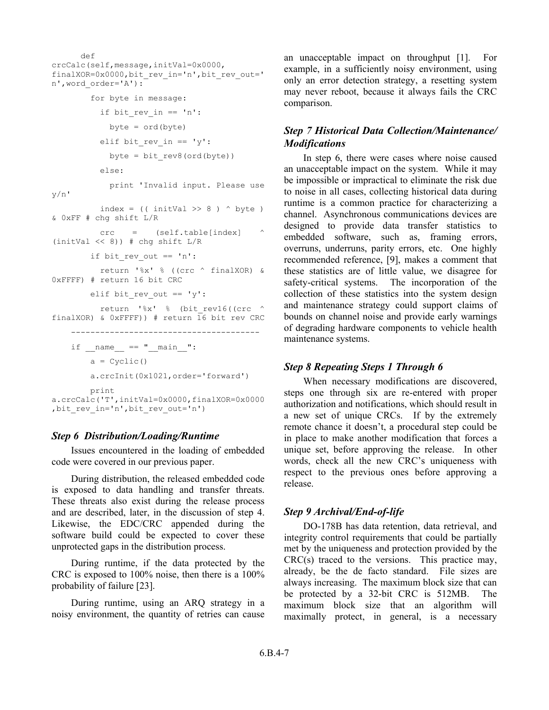```
--------------------------------------- 
       def 
crcCalc(self,message,initVal=0x0000,
finalXOR=0x0000,bit_rev_in='n',bit_rev_out='
n',word_order='A'): 
        for byte in message: 
          if bit rev in == 'n':
            byte = ord(byte)elif bit rev in == 'y':byte = bit rev8(ord(byte))else: 
           print 'Invalid input. Please use
y/n' 
         index = ((intVal \gg 8) ^ byte)
& 0xFF # chg shift L/R 
         crc = (self.table[index] ^ 
(initVal << 8)) # chg shift L/R 
       if bit rev out == 'n':
           return '%x' % ((crc ^ finalXOR) & 
0xFFFF) # return 16 bit CRC 
       elif bit rev out == 'y':return '%x' % (bit rev16((crc ^
finalXOR) & 0xFFFF)) # return 16 bit rev CRC
   if name == "main ":
       a = \text{Cyclic}()
       a.crcInit(0x1021,order='forward') 
       print
a.crcCalc('T',initVal=0x0000,finalXOR=0x0000
,bit rev in='n',bit rev out='n')
```
### *Step 6 Distribution/Loading/Runtime*

Issues encountered in the loading of embedded code were covered in our previous paper.

During distribution, the released embedded code is exposed to data handling and transfer threats. These threats also exist during the release process and are described, later, in the discussion of step 4. Likewise, the EDC/CRC appended during the software build could be expected to cover these unprotected gaps in the distribution process.

During runtime, if the data protected by the CRC is exposed to 100% noise, then there is a 100% probability of failure [23].

During runtime, using an ARQ strategy in a noisy environment, the quantity of retries can cause

an unacceptable impact on throughput [1]. For example, in a sufficiently noisy environment, using only an error detection strategy, a resetting system may never reboot, because it always fails the CRC comparison.

# *Step 7 Historical Data Collection/Maintenance/ Modifications*

In step 6, there were cases where noise caused an unacceptable impact on the system. While it may be impossible or impractical to eliminate the risk due to noise in all cases, collecting historical data during runtime is a common practice for characterizing a channel. Asynchronous communications devices are designed to provide data transfer statistics to embedded software, such as, framing errors, overruns, underruns, parity errors, etc. One highly recommended reference, [9], makes a comment that these statistics are of little value, we disagree for safety-critical systems. The incorporation of the collection of these statistics into the system design and maintenance strategy could support claims of bounds on channel noise and provide early warnings of degrading hardware components to vehicle health maintenance systems.

### *Step 8 Repeating Steps 1 Through 6*

When necessary modifications are discovered, steps one through six are re-entered with proper authorization and notifications, which should result in a new set of unique CRCs. If by the extremely remote chance it doesn't, a procedural step could be in place to make another modification that forces a unique set, before approving the release. In other words, check all the new CRC's uniqueness with respect to the previous ones before approving a release.

### *Step 9 Archival/End-of-life*

DO-178B has data retention, data retrieval, and integrity control requirements that could be partially met by the uniqueness and protection provided by the  $CRC(s)$  traced to the versions. This practice may, already, be the de facto standard. File sizes are always increasing. The maximum block size that can be protected by a 32-bit CRC is 512MB. The maximum block size that an algorithm will maximally protect, in general, is a necessary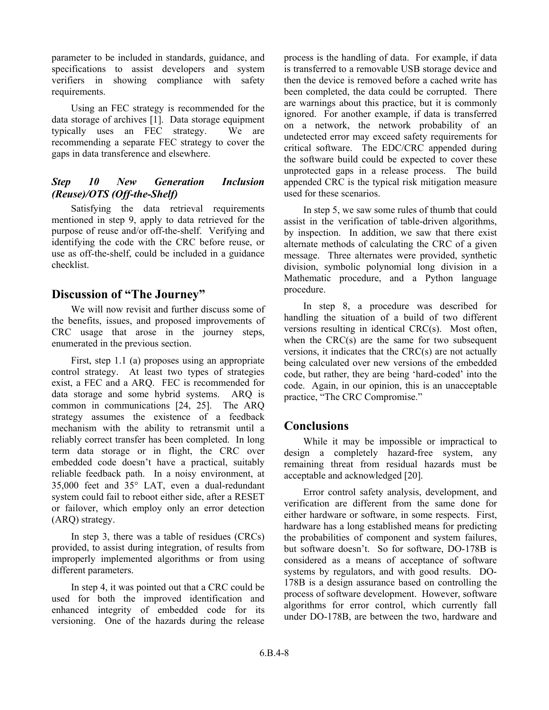parameter to be included in standards, guidance, and specifications to assist developers and system verifiers in showing compliance with safety requirements.

Using an FEC strategy is recommended for the data storage of archives [1]. Data storage equipment typically uses an FEC strategy. We are recommending a separate FEC strategy to cover the gaps in data transference and elsewhere.

# *Step 10 New Generation Inclusion (Reuse)/OTS (Off-the-Shelf)*

Satisfying the data retrieval requirements mentioned in step 9, apply to data retrieved for the purpose of reuse and/or off-the-shelf. Verifying and identifying the code with the CRC before reuse, or use as off-the-shelf, could be included in a guidance checklist.

# **Discussion of "The Journey"**

We will now revisit and further discuss some of the benefits, issues, and proposed improvements of CRC usage that arose in the journey steps, enumerated in the previous section.

First, step 1.1 (a) proposes using an appropriate control strategy. At least two types of strategies exist, a FEC and a ARQ. FEC is recommended for data storage and some hybrid systems. ARQ is common in communications [24, 25]. The ARQ strategy assumes the existence of a feedback mechanism with the ability to retransmit until a reliably correct transfer has been completed. In long term data storage or in flight, the CRC over embedded code doesn't have a practical, suitably reliable feedback path. In a noisy environment, at 35,000 feet and 35° LAT, even a dual-redundant system could fail to reboot either side, after a RESET or failover, which employ only an error detection (ARQ) strategy.

In step 3, there was a table of residues (CRCs) provided, to assist during integration, of results from improperly implemented algorithms or from using different parameters.

In step 4, it was pointed out that a CRC could be used for both the improved identification and enhanced integrity of embedded code for its versioning. One of the hazards during the release process is the handling of data. For example, if data is transferred to a removable USB storage device and then the device is removed before a cached write has been completed, the data could be corrupted. There are warnings about this practice, but it is commonly ignored. For another example, if data is transferred on a network, the network probability of an undetected error may exceed safety requirements for critical software. The EDC/CRC appended during the software build could be expected to cover these unprotected gaps in a release process. The build appended CRC is the typical risk mitigation measure used for these scenarios.

In step 5, we saw some rules of thumb that could assist in the verification of table-driven algorithms, by inspection. In addition, we saw that there exist alternate methods of calculating the CRC of a given message. Three alternates were provided, synthetic division, symbolic polynomial long division in a Mathematic procedure, and a Python language procedure.

In step 8, a procedure was described for handling the situation of a build of two different versions resulting in identical CRC(s). Most often, when the  $CRC(s)$  are the same for two subsequent versions, it indicates that the CRC(s) are not actually being calculated over new versions of the embedded code, but rather, they are being 'hard-coded' into the code. Again, in our opinion, this is an unacceptable practice, "The CRC Compromise."

# **Conclusions**

While it may be impossible or impractical to design a completely hazard-free system, any remaining threat from residual hazards must be acceptable and acknowledged [20].

 but software doesn't. So for software, DO-178B is Error control safety analysis, development, and verification are different from the same done for either hardware or software, in some respects. First, hardware has a long established means for predicting the probabilities of component and system failures, considered as a means of acceptance of software systems by regulators, and with good results. DO-178B is a design assurance based on controlling the process of software development. However, software algorithms for error control, which currently fall under DO-178B, are between the two, hardware and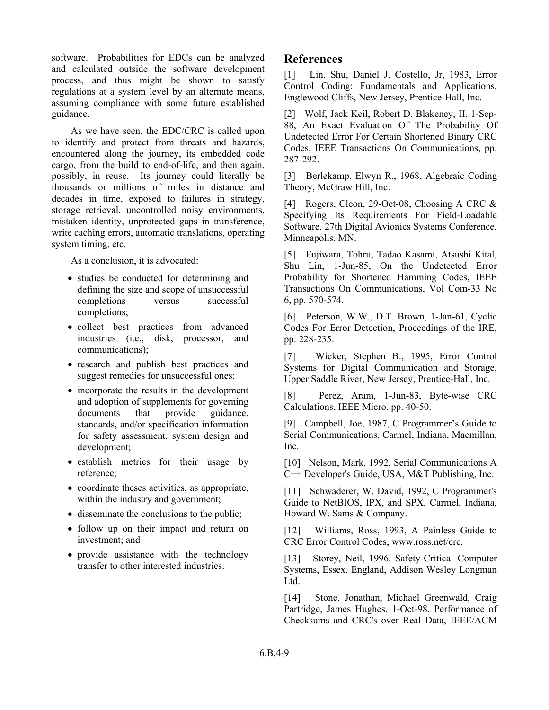software. Probabilities for EDCs can be analyzed and calculated outside the software development process, and thus might be shown to satisfy regulations at a system level by an alternate means, assuming compliance with some future established guidance.

As we have seen, the EDC/CRC is called upon to identify and protect from threats and hazards, encountered along the journey, its embedded code cargo, from the build to end-of-life, and then again, possibly, in reuse. Its journey could literally be thousands or millions of miles in distance and decades in time, exposed to failures in strategy, storage retrieval, uncontrolled noisy environments, mistaken identity, unprotected gaps in transference, write caching errors, automatic translations, operating system timing, etc.

As a conclusion, it is advocated:

- studies be conducted for determining and defining the size and scope of unsuccessful completions versus successful completions;
- • collect best practices from advanced industries (i.e., disk, processor, and communications);
- research and publish best practices and suggest remedies for unsuccessful ones;
- incorporate the results in the development and adoption of supplements for governing documents that provide guidance, standards, and/or specification information for safety assessment, system design and development;
- establish metrics for their usage by reference;
- coordinate theses activities, as appropriate, within the industry and government;
- disseminate the conclusions to the public;
- follow up on their impact and return on investment; and
- provide assistance with the technology transfer to other interested industries.

# **References**

[1] Lin, Shu, Daniel J. Costello, Jr, 1983, Error Control Coding: Fundamentals and Applications, Englewood Cliffs, New Jersey, Prentice-Hall, Inc.

[2] Wolf, Jack Keil, Robert D. Blakeney, II, 1-Sep-88, An Exact Evaluation Of The Probability Of Undetected Error For Certain Shortened Binary CRC Codes, IEEE Transactions On Communications, pp. 287-292.

[3] Berlekamp, Elwyn R., 1968, Algebraic Coding Theory, McGraw Hill, Inc.

[4] Rogers, Cleon, 29-Oct-08, Choosing A CRC & Specifying Its Requirements For Field-Loadable Software, 27th Digital Avionics Systems Conference, Minneapolis, MN.

[5] Fujiwara, Tohru, Tadao Kasami, Atsushi Kital, Shu Lin, 1-Jun-85, On the Undetected Error Probability for Shortened Hamming Codes, IEEE Transactions On Communications, Vol Com-33 No 6, pp. 570-574.

 [6] Peterson, W.W., D.T. Brown, 1-Jan-61, Cyclic Codes For Error Detection, Proceedings of the IRE, pp. 228-235.

[7] Wicker, Stephen B., 1995, Error Control Systems for Digital Communication and Storage, Upper Saddle River, New Jersey, Prentice-Hall, Inc.

[8] Perez, Aram, 1-Jun-83, Byte-wise CRC Calculations, IEEE Micro, pp. 40-50.

[9] Campbell, Joe, 1987, C Programmer's Guide to Serial Communications, Carmel, Indiana, Macmillan, Inc.

[10] Nelson, Mark, 1992, Serial Communications A C++ Developer's Guide, USA, M&T Publishing, Inc.

[11] Schwaderer, W. David, 1992, C Programmer's Guide to NetBIOS, IPX, and SPX, Carmel, Indiana, Howard W. Sams & Company.

[12] Williams, Ross, 1993, A Painless Guide to CRC Error Control Codes, www.ross.net/crc.

[13] Storey, Neil, 1996, Safety-Critical Computer Systems, Essex, England, Addison Wesley Longman Ltd.

[14] Stone, Jonathan, Michael Greenwald, Craig Partridge, James Hughes, 1-Oct-98, Performance of Checksums and CRC's over Real Data, IEEE/ACM